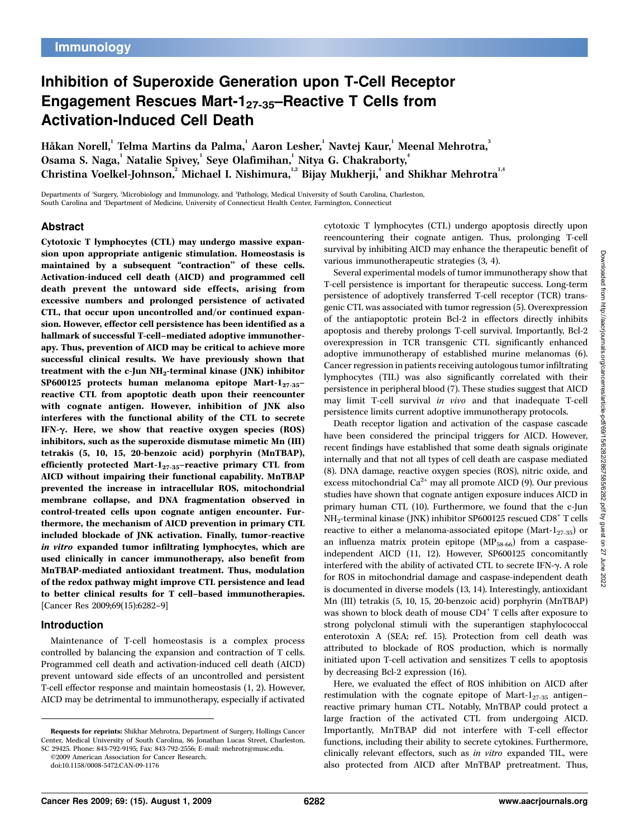# Inhibition of Superoxide Generation upon T-Cell Receptor Engagement Rescues Mart-127-35–Reactive T Cells from Activation-Induced Cell Death

Håkan Norell,' Telma Martins da Palma,' Aaron Lesher,' Navtej Kaur,' Meenal Mehrotra,' Osama S. Naga, <sup>1</sup> Natalie Spivey, <sup>1</sup> Seye Olafimihan, <sup>1</sup> Nitya G. Chakraborty, <sup>4</sup> Christina Voelkel-Johnson, $^2$  Michael I. Nishimura, $^{\text{1,2}}$  Bijay Mukherji, $^4$  and Shikhar Mehrotra $^{\text{1,4}}$ 

Departments of <sup>1</sup> Surgery, <sup>2</sup> Microbiology and Immunology, and <sup>3</sup> Pathology, Medical University of South Carolina, Charleston, South Carolina and 'Department of Medicine, University of Connecticut Health Center, Farmington, Connecticut

# Abstract

Cytotoxic T lymphocytes (CTL) may undergo massive expansion upon appropriate antigenic stimulation. Homeostasis is maintained by a subsequent "contraction" of these cells. Activation-induced cell death (AICD) and programmed cell death prevent the untoward side effects, arising from excessive numbers and prolonged persistence of activated CTL, that occur upon uncontrolled and/or continued expansion. However, effector cell persistence has been identified as a hallmark of successful T-cell-mediated adoptive immunotherapy. Thus, prevention of AICD may be critical to achieve more successful clinical results. We have previously shown that treatment with the c-Jun NH2-terminal kinase (JNK) inhibitor SP600125 protects human melanoma epitope Mart- $1_{27-35}$ reactive CTL from apoptotic death upon their reencounter with cognate antigen. However, inhibition of JNK also interferes with the functional ability of the CTL to secrete IFN- $\gamma$ . Here, we show that reactive oxygen species (ROS) inhibitors, such as the superoxide dismutase mimetic Mn (III) tetrakis (5, 10, 15, 20-benzoic acid) porphyrin (MnTBAP), efficiently protected Mart- $1_{27-35}$ -reactive primary CTL from AICD without impairing their functional capability. MnTBAP prevented the increase in intracellular ROS, mitochondrial membrane collapse, and DNA fragmentation observed in control-treated cells upon cognate antigen encounter. Furthermore, the mechanism of AICD prevention in primary CTL included blockade of JNK activation. Finally, tumor-reactive in vitro expanded tumor infiltrating lymphocytes, which are used clinically in cancer immunotherapy, also benefit from MnTBAP-mediated antioxidant treatment. Thus, modulation of the redox pathway might improve CTL persistence and lead to better clinical results for T cell–based immunotherapies. [Cancer Res 2009;69(15):6282–9]

# Introduction

Maintenance of T-cell homeostasis is a complex process controlled by balancing the expansion and contraction of T cells. Programmed cell death and activation-induced cell death (AICD) prevent untoward side effects of an uncontrolled and persistent T-cell effector response and maintain homeostasis (1, 2). However, AICD may be detrimental to immunotherapy, especially if activated cytotoxic T lymphocytes (CTL) undergo apoptosis directly upon reencountering their cognate antigen. Thus, prolonging T-cell survival by inhibiting AICD may enhance the therapeutic benefit of various immunotherapeutic strategies (3, 4).

Several experimental models of tumor immunotherapy show that T-cell persistence is important for therapeutic success. Long-term persistence of adoptively transferred T-cell receptor (TCR) transgenic CTL was associated with tumor regression (5). Overexpression of the antiapoptotic protein Bcl-2 in effectors directly inhibits apoptosis and thereby prolongs T-cell survival. Importantly, Bcl-2 overexpression in TCR transgenic CTL significantly enhanced adoptive immunotherapy of established murine melanomas (6). Cancer regression in patients receiving autologous tumor infiltrating lymphocytes (TIL) was also significantly correlated with their persistence in peripheral blood (7). These studies suggest that AICD may limit T-cell survival in vivo and that inadequate T-cell persistence limits current adoptive immunotherapy protocols.

Death receptor ligation and activation of the caspase cascade have been considered the principal triggers for AICD. However, recent findings have established that some death signals originate internally and that not all types of cell death are caspase mediated (8). DNA damage, reactive oxygen species (ROS), nitric oxide, and excess mitochondrial  $Ca^{2+}$  may all promote AICD (9). Our previous studies have shown that cognate antigen exposure induces AICD in primary human CTL (10). Furthermore, we found that the c-Jun  $NH_2$ -terminal kinase (JNK) inhibitor SP600125 rescued  $CD8^+$  T cells reactive to either a melanoma-associated epitope (Mart- $1_{27-35}$ ) or an influenza matrix protein epitope  $(MP_{58-66})$  from a caspaseindependent AICD (11, 12). However, SP600125 concomitantly interfered with the ability of activated CTL to secrete IFN-g. A role for ROS in mitochondrial damage and caspase-independent death is documented in diverse models (13, 14). Interestingly, antioxidant Mn (III) tetrakis (5, 10, 15, 20-benzoic acid) porphyrin (MnTBAP) was shown to block death of mouse CD4<sup>+</sup> T cells after exposure to strong polyclonal stimuli with the superantigen staphylococcal enterotoxin A (SEA; ref. 15). Protection from cell death was attributed to blockade of ROS production, which is normally initiated upon T-cell activation and sensitizes T cells to apoptosis by decreasing Bcl-2 expression (16).

Here, we evaluated the effect of ROS inhibition on AICD after restimulation with the cognate epitope of Mart- $1_{27-35}$  antigen– reactive primary human CTL. Notably, MnTBAP could protect a large fraction of the activated CTL from undergoing AICD. Importantly, MnTBAP did not interfere with T-cell effector functions, including their ability to secrete cytokines. Furthermore, clinically relevant effectors, such as in vitro expanded TIL, were also protected from AICD after MnTBAP pretreatment. Thus,

Requests for reprints: Shikhar Mehrotra, Department of Surgery, Hollings Cancer Center, Medical University of South Carolina, 86 Jonathan Lucas Street, Charleston, SC 29425. Phone: 843-792-9195; Fax: 843-792-2556; E-mail: mehrotr@musc.edu.

<sup>©2009</sup> American Association for Cancer Research.

doi:10.1158/0008-5472.CAN-09-1176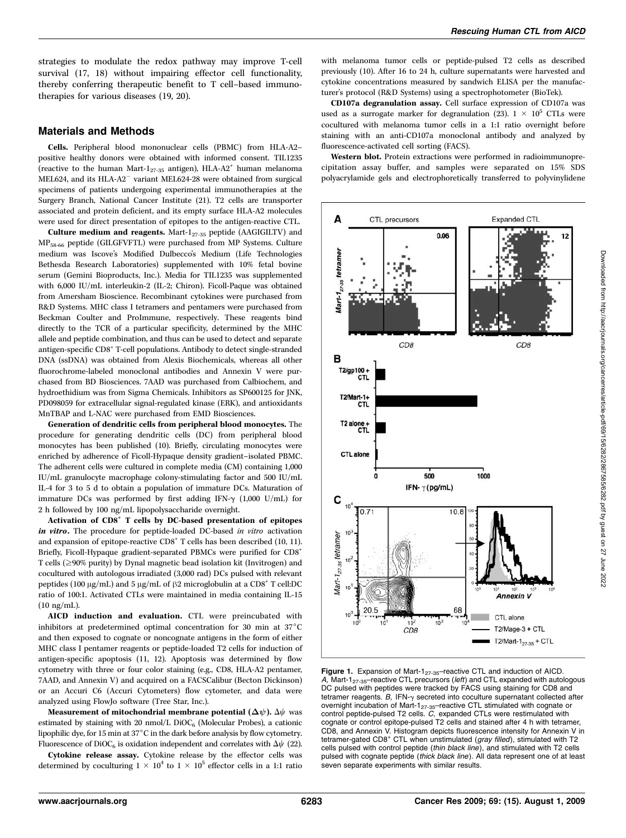strategies to modulate the redox pathway may improve T-cell survival (17, 18) without impairing effector cell functionality, thereby conferring therapeutic benefit to T cell–based immunotherapies for various diseases (19, 20).

## Materials and Methods

Cells. Peripheral blood mononuclear cells (PBMC) from HLA-A2– positive healthy donors were obtained with informed consent. TIL1235 (reactive to the human Mart-1<sub>27-35</sub> antigen), HLA-A2<sup>+</sup> human melanoma MEL624, and its HLA-A2<sup>-</sup> variant MEL624-28 were obtained from surgical specimens of patients undergoing experimental immunotherapies at the Surgery Branch, National Cancer Institute (21). T2 cells are transporter associated and protein deficient, and its empty surface HLA-A2 molecules were used for direct presentation of epitopes to the antigen-reactive CTL.

Culture medium and reagents. Mart- $1_{27-35}$  peptide (AAGIGILTV) and MP58-66 peptide (GILGFVFTL) were purchased from MP Systems. Culture medium was Iscove's Modified Dulbecco's Medium (Life Technologies Bethesda Research Laboratories) supplemented with 10% fetal bovine serum (Gemini Bioproducts, Inc.). Media for TIL1235 was supplemented with 6,000 IU/mL interleukin-2 (IL-2; Chiron). Ficoll-Paque was obtained from Amersham Bioscience. Recombinant cytokines were purchased from R&D Systems. MHC class I tetramers and pentamers were purchased from Beckman Coulter and ProImmune, respectively. These reagents bind directly to the TCR of a particular specificity, determined by the MHC allele and peptide combination, and thus can be used to detect and separate antigen-specific CD8+ T-cell populations. Antibody to detect single-stranded DNA (ssDNA) was obtained from Alexis Biochemicals, whereas all other fluorochrome-labeled monoclonal antibodies and Annexin V were purchased from BD Biosciences. 7AAD was purchased from Calbiochem, and hydroethidium was from Sigma Chemicals. Inhibitors as SP600125 for JNK, PD098059 for extracellular signal-regulated kinase (ERK), and antioxidants MnTBAP and L-NAC were purchased from EMD Biosciences.

Generation of dendritic cells from peripheral blood monocytes. The procedure for generating dendritic cells (DC) from peripheral blood monocytes has been published (10). Briefly, circulating monocytes were enriched by adherence of Ficoll-Hypaque density gradient–isolated PBMC. The adherent cells were cultured in complete media (CM) containing 1,000 IU/mL granulocyte macrophage colony-stimulating factor and 500 IU/mL IL-4 for 3 to 5 d to obtain a population of immature DCs. Maturation of immature DCs was performed by first adding IFN- $\gamma$  (1,000 U/mL) for 2 h followed by 100 ng/mL lipopolysaccharide overnight.

Activation of CD8<sup>+</sup> T cells by DC-based presentation of epitopes in vitro. The procedure for peptide-loaded DC-based in vitro activation and expansion of epitope-reactive CD8<sup>+</sup> T cells has been described (10, 11). Briefly, Ficoll-Hypaque gradient-separated PBMCs were purified for CD8<sup>+</sup> T cells ( $\geq$ 90% purity) by Dynal magnetic bead isolation kit (Invitrogen) and cocultured with autologous irradiated (3,000 rad) DCs pulsed with relevant peptides (100  $\mu$ g/mL) and 5  $\mu$ g/mL of  $\beta$ 2 microglobulin at a CD8<sup>+</sup> T cell:DC ratio of 100:1. Activated CTLs were maintained in media containing IL-15 (10 ng/mL).

AICD induction and evaluation. CTL were preincubated with inhibitors at predetermined optimal concentration for 30 min at  $37^{\circ}$ C and then exposed to cognate or noncognate antigens in the form of either MHC class I pentamer reagents or peptide-loaded T2 cells for induction of antigen-specific apoptosis (11, 12). Apoptosis was determined by flow cytometry with three or four color staining (e.g., CD8, HLA-A2 pentamer, 7AAD, and Annexin V) and acquired on a FACSCalibur (Becton Dickinson) or an Accuri C6 (Accuri Cytometers) flow cytometer, and data were analyzed using FlowJo software (Tree Star, Inc.).

Measurement of mitochondrial membrane potential  $(\Delta \psi)$ .  $\Delta \psi$  was estimated by staining with 20 nmol/L DiOC6 (Molecular Probes), a cationic lipophilic dye, for 15 min at 37 $^{\circ}$ C in the dark before analysis by flow cytometry. Fluorescence of DiOC<sub>6</sub> is oxidation independent and correlates with  $\Delta \psi$  (22).

Cytokine release assay. Cytokine release by the effector cells was determined by coculturing  $1 \times 10^4$  to  $1 \times 10^5$  effector cells in a 1:1 ratio with melanoma tumor cells or peptide-pulsed T2 cells as described previously (10). After 16 to 24h, culture supernatants were harvested and cytokine concentrations measured by sandwich ELISA per the manufacturer's protocol (R&D Systems) using a spectrophotometer (BioTek).

CD107a degranulation assay. Cell surface expression of CD107a was used as a surrogate marker for degranulation (23).  $1 \times 10^5$  CTLs were cocultured with melanoma tumor cells in a 1:1 ratio overnight before staining with an anti-CD107a monoclonal antibody and analyzed by fluorescence-activated cell sorting (FACS).

Western blot. Protein extractions were performed in radioimmunoprecipitation assay buffer, and samples were separated on 15% SDS polyacrylamide gels and electrophoretically transferred to polyvinylidene



Figure 1. Expansion of Mart-1<sub>27-35</sub>-reactive CTL and induction of AICD. A, Mart-1<sub>27-35</sub>-reactive CTL precursors (left) and CTL expanded with autologous DC pulsed with peptides were tracked by FACS using staining for CD8 and tetramer reagents.  $B$ , IFN- $\gamma$  secreted into coculture supernatant collected after overnight incubation of Mart-1<sub>27-35</sub>-reactive CTL stimulated with cognate or control peptide-pulsed T2 cells. C, expanded CTLs were restimulated with cognate or control epitope-pulsed T2 cells and stained after 4 h with tetramer, CD8, and Annexin V. Histogram depicts fluorescence intensity for Annexin V in tetramer-gated CD8<sup>+</sup> CTL when unstimulated (gray filled), stimulated with T2 cells pulsed with control peptide (thin black line), and stimulated with T2 cells pulsed with cognate peptide (thick black line). All data represent one of at least seven separate experiments with similar results.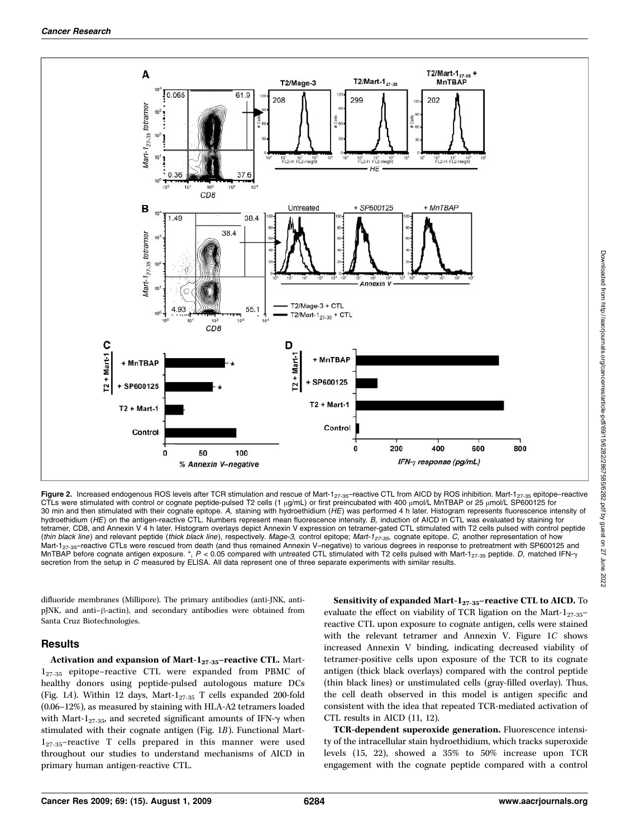

Figure 2. Increased endogenous ROS levels after TCR stimulation and rescue of Mart-1<sub>27-35</sub>-reactive CTL from AICD by ROS inhibition. Mart-1<sub>27-35</sub> epitope-reactive CTLs were stimulated with control or cognate peptide-pulsed T2 cells (1  $\mu$ g/mL) or first preincubated with 400  $\mu$ mol/L MnTBAP or 25  $\mu$ mol/L SP600125 for 30 min and then stimulated with their cognate epitope. A, staining with hydroethidium (HE) was performed 4 h later. Histogram represents fluorescence intensity of hydroethidium (HE) on the antigen-reactive CTL. Numbers represent mean fluorescence intensity. B, induction of AICD in CTL was evaluated by staining for tetramer, CD8, and Annexin V 4 h later. Histogram overlays depict Annexin V expression on tetramer-gated CTL stimulated with T2 cells pulsed with control peptide (thin black line) and relevant peptide (thick black line), respectively. Mage-3, control epitope; Mart-1<sub>27-35</sub>, cognate epitope. C, another representation of how Mart-1<sub>27-35</sub>-reactive CTLs were rescued from death (and thus remained Annexin V–negative) to various degrees in response to pretreatment with SP600125 and MnTBAP before cognate antigen exposure. \*,  $P < 0.05$  compared with untreated CTL stimulated with T2 cells pulsed with Mart-1<sub>27-35</sub> peptide. D, matched IFN- $\gamma$ secretion from the setup in C measured by ELISA. All data represent one of three separate experiments with similar results.

difluoride membranes (Millipore). The primary antibodies (anti-JNK, anti $pJNK$ , and anti- $\beta$ -actin), and secondary antibodies were obtained from Santa Cruz Biotechnologies.

### Results

Activation and expansion of Mart- $1_{27-35}$ -reactive CTL. Mart-127-35 epitope–reactive CTL were expanded from PBMC of healthy donors using peptide-pulsed autologous mature DCs (Fig. 1A). Within 12 days, Mart- $1_{27-35}$  T cells expanded 200-fold (0.06–12%), as measured by staining with HLA-A2 tetramers loaded with Mart-1<sub>27-35</sub>, and secreted significant amounts of IFN- $\gamma$  when stimulated with their cognate antigen (Fig. 1B). Functional Mart- $1_{27-35}$ -reactive T cells prepared in this manner were used throughout our studies to understand mechanisms of AICD in primary human antigen-reactive CTL.

#### Sensitivity of expanded Mart- $1_{27-35}$ –reactive CTL to AICD. To

evaluate the effect on viability of TCR ligation on the Mart- $1_{27-35}$ reactive CTL upon exposure to cognate antigen, cells were stained with the relevant tetramer and Annexin V. Figure 1C shows increased Annexin V binding, indicating decreased viability of tetramer-positive cells upon exposure of the TCR to its cognate antigen (thick black overlays) compared with the control peptide (thin black lines) or unstimulated cells (gray-filled overlay). Thus, the cell death observed in this model is antigen specific and consistent with the idea that repeated TCR-mediated activation of CTL results in AICD (11, 12).

TCR-dependent superoxide generation. Fluorescence intensity of the intracellular stain hydroethidium, which tracks superoxide levels (15, 22), showed a 35% to 50% increase upon TCR engagement with the cognate peptide compared with a control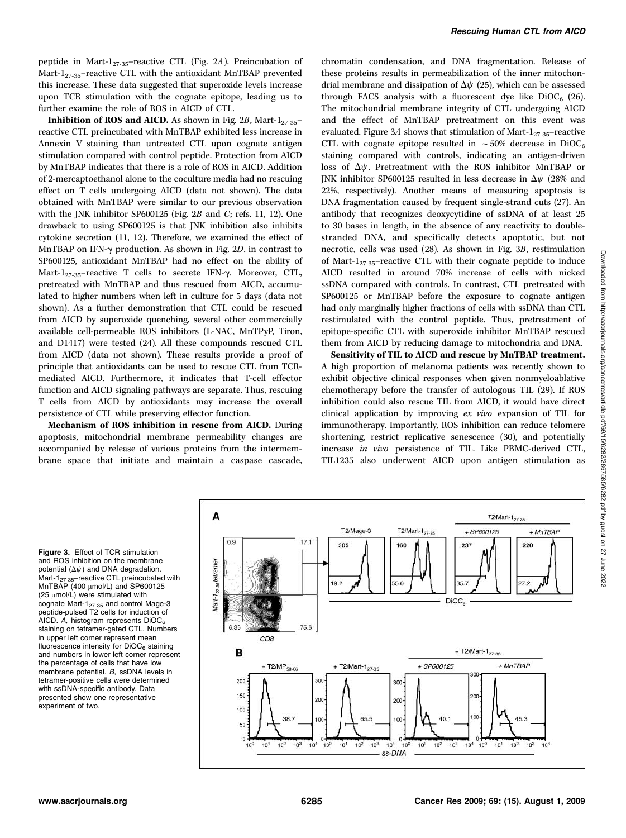peptide in Mart-127-35–reactive CTL (Fig. 2A). Preincubation of Mart-127-35–reactive CTL with the antioxidant MnTBAP prevented this increase. These data suggested that superoxide levels increase upon TCR stimulation with the cognate epitope, leading us to further examine the role of ROS in AICD of CTL.

**Inhibition of ROS and AICD.** As shown in Fig. 2B, Mart-1<sub>27-35</sub>reactive CTL preincubated with MnTBAP exhibited less increase in Annexin V staining than untreated CTL upon cognate antigen stimulation compared with control peptide. Protection from AICD by MnTBAP indicates that there is a role of ROS in AICD. Addition of 2-mercaptoethanol alone to the coculture media had no rescuing effect on T cells undergoing AICD (data not shown). The data obtained with MnTBAP were similar to our previous observation with the JNK inhibitor SP600125 (Fig. 2B and C; refs. 11, 12). One drawback to using SP600125 is that JNK inhibition also inhibits cytokine secretion (11, 12). Therefore, we examined the effect of MnTBAP on IFN- $\gamma$  production. As shown in Fig. 2D, in contrast to SP600125, antioxidant MnTBAP had no effect on the ability of Mart- $1_{27-35}$ -reactive T cells to secrete IFN- $\gamma$ . Moreover, CTL, pretreated with MnTBAP and thus rescued from AICD, accumulated to higher numbers when left in culture for 5 days (data not shown). As a further demonstration that CTL could be rescued from AICD by superoxide quenching, several other commercially available cell-permeable ROS inhibitors (L-NAC, MnTPyP, Tiron, and D1417) were tested (24). All these compounds rescued CTL from AICD (data not shown). These results provide a proof of principle that antioxidants can be used to rescue CTL from TCRmediated AICD. Furthermore, it indicates that T-cell effector function and AICD signaling pathways are separate. Thus, rescuing T cells from AICD by antioxidants may increase the overall persistence of CTL while preserving effector function.

Mechanism of ROS inhibition in rescue from AICD. During apoptosis, mitochondrial membrane permeability changes are accompanied by release of various proteins from the intermembrane space that initiate and maintain a caspase cascade, chromatin condensation, and DNA fragmentation. Release of these proteins results in permeabilization of the inner mitochondrial membrane and dissipation of  $\Delta\psi$  (25), which can be assessed through FACS analysis with a fluorescent dye like  $DiOC<sub>6</sub>$  (26). The mitochondrial membrane integrity of CTL undergoing AICD and the effect of MnTBAP pretreatment on this event was evaluated. Figure 3A shows that stimulation of Mart- $1_{27-35}$ -reactive CTL with cognate epitope resulted in  $\sim$  50% decrease in DiOC<sub>6</sub> staining compared with controls, indicating an antigen-driven loss of  $\Delta \psi$ . Pretreatment with the ROS inhibitor MnTBAP or JNK inhibitor SP600125 resulted in less decrease in  $\Delta\psi$  (28% and 22%, respectively). Another means of measuring apoptosis is DNA fragmentation caused by frequent single-strand cuts (27). An antibody that recognizes deoxycytidine of ssDNA of at least 25 to 30 bases in length, in the absence of any reactivity to doublestranded DNA, and specifically detects apoptotic, but not necrotic, cells was used (28). As shown in Fig. 3B, restimulation of Mart- $1_{27-35}$ -reactive CTL with their cognate peptide to induce AICD resulted in around 70% increase of cells with nicked ssDNA compared with controls. In contrast, CTL pretreated with SP600125 or MnTBAP before the exposure to cognate antigen had only marginally higher fractions of cells with ssDNA than CTL restimulated with the control peptide. Thus, pretreatment of epitope-specific CTL with superoxide inhibitor MnTBAP rescued them from AICD by reducing damage to mitochondria and DNA.

Sensitivity of TIL to AICD and rescue by MnTBAP treatment. A high proportion of melanoma patients was recently shown to exhibit objective clinical responses when given nonmyeloablative chemotherapy before the transfer of autologous TIL (29). If ROS inhibition could also rescue TIL from AICD, it would have direct clinical application by improving ex vivo expansion of TIL for immunotherapy. Importantly, ROS inhibition can reduce telomere shortening, restrict replicative senescence (30), and potentially increase in vivo persistence of TIL. Like PBMC-derived CTL, TIL1235 also underwent AICD upon antigen stimulation as

Figure 3. Effect of TCR stimulation and ROS inhibition on the membrane potential  $(\Delta \psi)$  and DNA degradation. Mart-1<sub>27-35</sub>-reactive CTL preincubated with  $MnTBAP$  (400  $\mu$ mol/L) and SP600125  $(25 \mu \text{mol/L})$  were stimulated with cognate Mart-1<sub>27-35</sub> and control Mage-3 peptide-pulsed T2 cells for induction of AICD. A, histogram represents DiOC<sub>6</sub> staining on tetramer-gated CTL. Numbers in upper left corner represent mean fluorescence intensity for  $DiOC<sub>6</sub>$  staining and numbers in lower left corner represent the percentage of cells that have low membrane potential. B, ssDNA levels in tetramer-positive cells were determined with ssDNA-specific antibody. Data presented show one representative experiment of two.

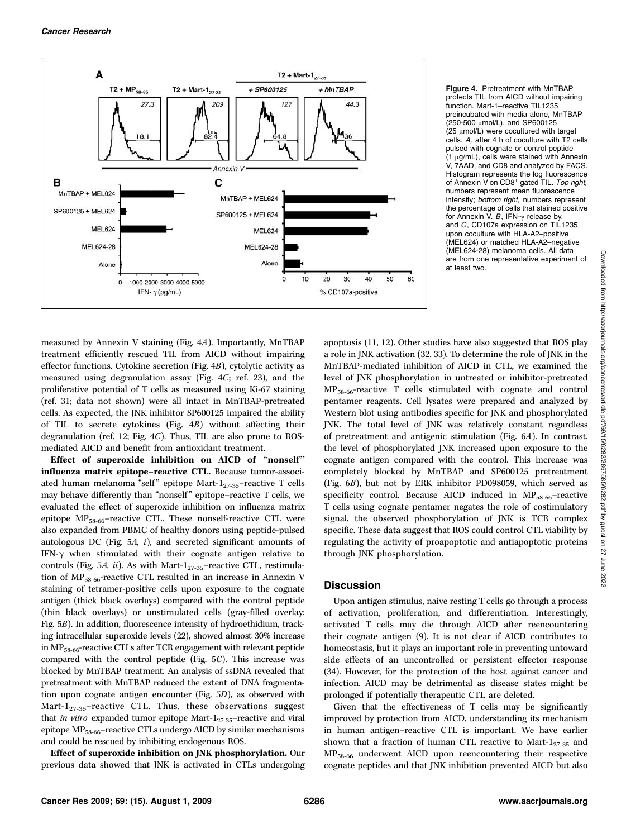

Figure 4. Pretreatment with MnTBAP protects TIL from AICD without impairing function. Mart-1–reactive TIL1235 preincubated with media alone, MnTBAP (250-500 µmol/L), and SP600125  $(25 \mu \text{mol/L})$  were cocultured with target cells. A, after 4 h of coculture with T2 cells pulsed with cognate or control peptide  $(1 \mu g/mL)$ , cells were stained with Annexin V, 7AAD, and CD8 and analyzed by FACS. Histogram represents the log fluorescence of Annexin V on CD8<sup>+</sup> gated TIL. Top right, numbers represent mean fluorescence intensity; bottom right, numbers represent the percentage of cells that stained positive for Annexin V. B, IFN- $\gamma$  release by, and C, CD107a expression on TIL1235 upon coculture with HLA-A2–positive (MEL624) or matched HLA-A2–negative (MEL624-28) melanoma cells. All data are from one representative experiment of at least two.

measured by Annexin V staining (Fig. 4A). Importantly, MnTBAP treatment efficiently rescued TIL from AICD without impairing effector functions. Cytokine secretion (Fig. 4B), cytolytic activity as measured using degranulation assay (Fig. 4C; ref. 23), and the proliferative potential of T cells as measured using Ki-67 staining (ref. 31; data not shown) were all intact in MnTBAP-pretreated cells. As expected, the JNK inhibitor SP600125 impaired the ability of TIL to secrete cytokines (Fig. 4B) without affecting their degranulation (ref. 12; Fig. 4C). Thus, TIL are also prone to ROSmediated AICD and benefit from antioxidant treatment.

Effect of superoxide inhibition on AICD of "nonself" influenza matrix epitope–reactive CTL. Because tumor-associated human melanoma "self" epitope Mart- $1_{27-35}$ -reactive T cells may behave differently than "nonself" epitope–reactive T cells, we evaluated the effect of superoxide inhibition on influenza matrix epitope  $MP_{58-66}$ -reactive CTL. These nonself-reactive CTL were also expanded from PBMC of healthy donors using peptide-pulsed autologous DC (Fig.  $5A$ ,  $i$ ), and secreted significant amounts of IFN-g when stimulated with their cognate antigen relative to controls (Fig. 5A, ii). As with Mart- $1_{27-35}$ -reactive CTL, restimulation of  $MP_{58-66}$ -reactive CTL resulted in an increase in Annexin V staining of tetramer-positive cells upon exposure to the cognate antigen (thick black overlays) compared with the control peptide (thin black overlays) or unstimulated cells (gray-filled overlay; Fig. 5B). In addition, fluorescence intensity of hydroethidium, tracking intracellular superoxide levels (22), showed almost 30% increase in MP58-66-reactive CTLs after TCR engagement with relevant peptide compared with the control peptide (Fig. 5C). This increase was blocked by MnTBAP treatment. An analysis of ssDNA revealed that pretreatment with MnTBAP reduced the extent of DNA fragmentation upon cognate antigen encounter (Fig. 5D), as observed with Mart- $1_{27-35}$ -reactive CTL. Thus, these observations suggest that *in vitro* expanded tumor epitope Mart- $1_{27-35}$ -reactive and viral epitope MP<sub>58-66</sub>-reactive CTLs undergo AICD by similar mechanisms and could be rescued by inhibiting endogenous ROS.

Effect of superoxide inhibition on JNK phosphorylation. Our previous data showed that JNK is activated in CTLs undergoing apoptosis (11, 12). Other studies have also suggested that ROS play a role in JNK activation (32, 33). To determine the role of JNK in the MnTBAP-mediated inhibition of AICD in CTL, we examined the level of JNK phosphorylation in untreated or inhibitor-pretreated MP58-66-reactive T cells stimulated with cognate and control pentamer reagents. Cell lysates were prepared and analyzed by Western blot using antibodies specific for JNK and phosphorylated JNK. The total level of JNK was relatively constant regardless of pretreatment and antigenic stimulation (Fig. 6A). In contrast, the level of phosphorylated JNK increased upon exposure to the cognate antigen compared with the control. This increase was completely blocked by MnTBAP and SP600125 pretreatment (Fig. 6B), but not by ERK inhibitor PD098059, which served as specificity control. Because AICD induced in  $MP_{58-66}$ -reactive T cells using cognate pentamer negates the role of costimulatory signal, the observed phosphorylation of JNK is TCR complex specific. These data suggest that ROS could control CTL viability by regulating the activity of proapoptotic and antiapoptotic proteins through JNK phosphorylation.

# **Discussion**

Upon antigen stimulus, naive resting T cells go through a process of activation, proliferation, and differentiation. Interestingly, activated T cells may die through AICD after reencountering their cognate antigen (9). It is not clear if AICD contributes to homeostasis, but it plays an important role in preventing untoward side effects of an uncontrolled or persistent effector response (34). However, for the protection of the host against cancer and infection, AICD may be detrimental as disease states might be prolonged if potentially therapeutic CTL are deleted.

Given that the effectiveness of T cells may be significantly improved by protection from AICD, understanding its mechanism in human antigen–reactive CTL is important. We have earlier shown that a fraction of human CTL reactive to Mart- $1_{27-35}$  and MP58-66 underwent AICD upon reencountering their respective cognate peptides and that JNK inhibition prevented AICD but also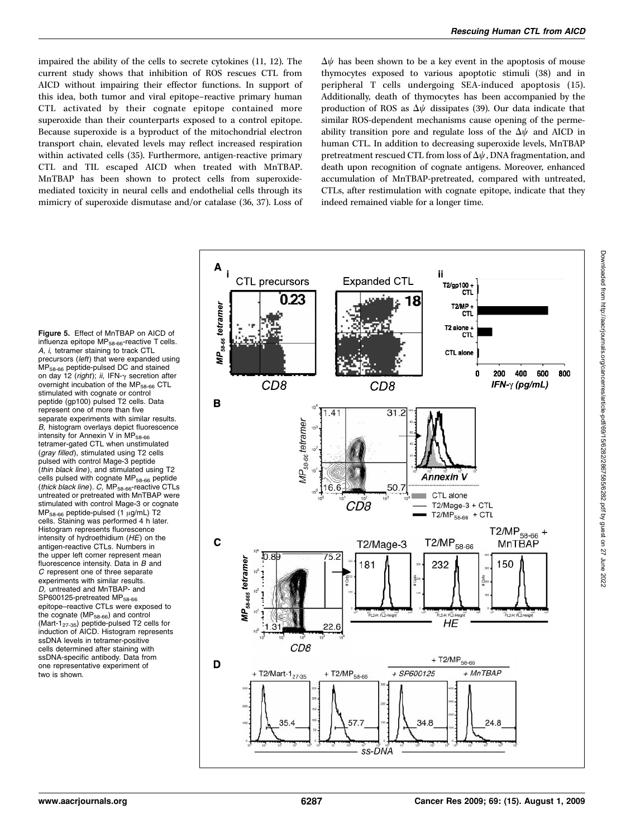impaired the ability of the cells to secrete cytokines (11, 12). The current study shows that inhibition of ROS rescues CTL from AICD without impairing their effector functions. In support of this idea, both tumor and viral epitope–reactive primary human CTL activated by their cognate epitope contained more superoxide than their counterparts exposed to a control epitope. Because superoxide is a byproduct of the mitochondrial electron transport chain, elevated levels may reflect increased respiration within activated cells (35). Furthermore, antigen-reactive primary CTL and TIL escaped AICD when treated with MnTBAP. MnTBAP has been shown to protect cells from superoxidemediated toxicity in neural cells and endothelial cells through its mimicry of superoxide dismutase and/or catalase (36, 37). Loss of  $\Delta\psi$  has been shown to be a key event in the apoptosis of mouse thymocytes exposed to various apoptotic stimuli (38) and in peripheral T cells undergoing SEA-induced apoptosis (15). Additionally, death of thymocytes has been accompanied by the production of ROS as  $\Delta\psi$  dissipates (39). Our data indicate that similar ROS-dependent mechanisms cause opening of the permeability transition pore and regulate loss of the  $\Delta\psi$  and AICD in human CTL. In addition to decreasing superoxide levels, MnTBAP pretreatment rescued CTL from loss of  $\Delta \psi$ , DNA fragmentation, and death upon recognition of cognate antigens. Moreover, enhanced accumulation of MnTBAP-pretreated, compared with untreated, CTLs, after restimulation with cognate epitope, indicate that they indeed remained viable for a longer time.

Figure 5. Effect of MnTBAP on AICD of influenza epitope MP<sub>58-66</sub>-reactive T cells. A, i, tetramer staining to track CTL precursors (left) that were expanded using MP58-66 peptide-pulsed DC and stained on day 12 (right); ii, IFN- $\gamma$  secretion after overnight incubation of the MP<sub>58-66</sub> CTL stimulated with cognate or control peptide (gp100) pulsed T2 cells. Data represent one of more than five separate experiments with similar results. B, histogram overlays depict fluorescence intensity for Annexin V in MP<sub>58-66</sub> tetramer-gated CTL when unstimulated (gray filled), stimulated using T2 cells pulsed with control Mage-3 peptide (thin black line), and stimulated using T2 cells pulsed with cognate  $MP_{58-66}$  peptide (thick black line). C, MP<sub>58-66</sub>-reactive CTLs untreated or pretreated with MnTBAP were stimulated with control Mage-3 or cognate  $MP_{58-66}$  peptide-pulsed (1  $\mu$ g/mL) T2 cells. Staining was performed 4 h later. Histogram represents fluorescence intensity of hydroethidium (HE) on the antigen-reactive CTLs. Numbers in the upper left corner represent mean fluorescence intensity. Data in B and C represent one of three separate experiments with similar results. D, untreated and MnTBAP- and SP600125-pretreated MP<sub>58-66</sub> epitope–reactive CTLs were exposed to the cognate (MP<sub>58-66</sub>) and control  $(Mart-1<sub>27-35</sub>)$  peptide-pulsed T2 cells for induction of AICD. Histogram represents ssDNA levels in tetramer-positive cells determined after staining with ssDNA-specific antibody. Data from one representative experiment of two is shown.

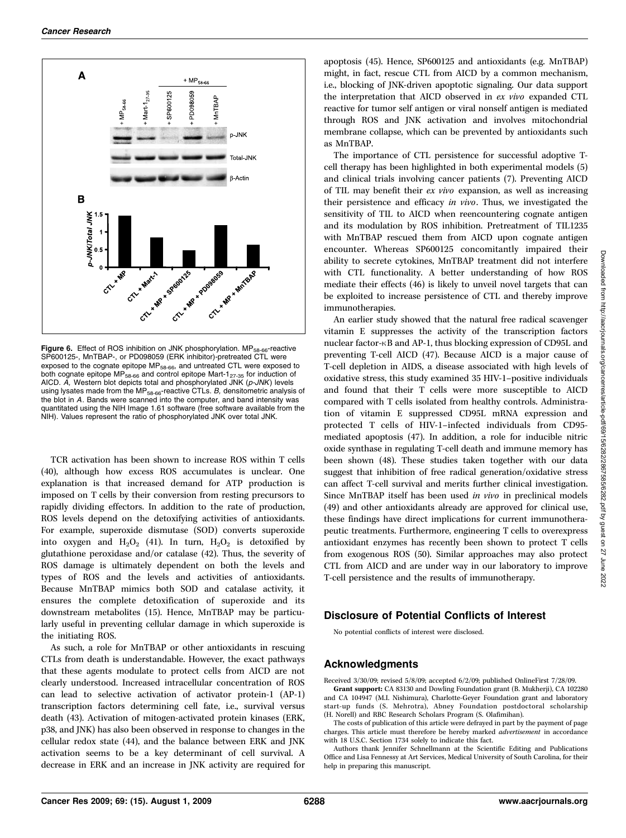

Figure 6. Effect of ROS inhibition on JNK phosphorylation. MP<sub>58-66</sub>-reactive SP600125-, MnTBAP-, or PD098059 (ERK inhibitor)-pretreated CTL were exposed to the cognate epitope MP<sub>58-66</sub>, and untreated CTL were exposed to both cognate epitope  $MP_{58-66}$  and control epitope Mart-1<sub>27-35</sub> for induction of AICD.  $\overline{A}$ , Western blot depicts total and phosphorylated  $\overline{JNK}$  ( $p$ - $\overline{JNK}$ ) levels using lysates made from the MP $_{58-66}$ -reactive CTLs. B, densitometric analysis of the blot in A. Bands were scanned into the computer, and band intensity was quantitated using the NIH Image 1.61 software (free software available from the NIH). Values represent the ratio of phosphorylated JNK over total JNK.

TCR activation has been shown to increase ROS within T cells (40), although how excess ROS accumulates is unclear. One explanation is that increased demand for ATP production is imposed on T cells by their conversion from resting precursors to rapidly dividing effectors. In addition to the rate of production, ROS levels depend on the detoxifying activities of antioxidants. For example, superoxide dismutase (SOD) converts superoxide into oxygen and  $H_2O_2$  (41). In turn,  $H_2O_2$  is detoxified by glutathione peroxidase and/or catalase (42). Thus, the severity of ROS damage is ultimately dependent on both the levels and types of ROS and the levels and activities of antioxidants. Because MnTBAP mimics both SOD and catalase activity, it ensures the complete detoxification of superoxide and its downstream metabolites (15). Hence, MnTBAP may be particularly useful in preventing cellular damage in which superoxide is the initiating ROS.

As such, a role for MnTBAP or other antioxidants in rescuing CTLs from death is understandable. However, the exact pathways that these agents modulate to protect cells from AICD are not clearly understood. Increased intracellular concentration of ROS can lead to selective activation of activator protein-1 (AP-1) transcription factors determining cell fate, i.e., survival versus death (43). Activation of mitogen-activated protein kinases (ERK, p38, and JNK) has also been observed in response to changes in the cellular redox state (44), and the balance between ERK and JNK activation seems to be a key determinant of cell survival. A decrease in ERK and an increase in JNK activity are required for

apoptosis (45). Hence, SP600125 and antioxidants (e.g. MnTBAP) might, in fact, rescue CTL from AICD by a common mechanism, i.e., blocking of JNK-driven apoptotic signaling. Our data support the interpretation that AICD observed in ex vivo expanded CTL reactive for tumor self antigen or viral nonself antigen is mediated through ROS and JNK activation and involves mitochondrial membrane collapse, which can be prevented by antioxidants such as MnTBAP.

The importance of CTL persistence for successful adoptive Tcell therapy has been highlighted in both experimental models (5) and clinical trials involving cancer patients (7). Preventing AICD of TIL may benefit their ex vivo expansion, as well as increasing their persistence and efficacy in vivo. Thus, we investigated the sensitivity of TIL to AICD when reencountering cognate antigen and its modulation by ROS inhibition. Pretreatment of TIL1235 with MnTBAP rescued them from AICD upon cognate antigen encounter. Whereas SP600125 concomitantly impaired their ability to secrete cytokines, MnTBAP treatment did not interfere with CTL functionality. A better understanding of how ROS mediate their effects (46) is likely to unveil novel targets that can be exploited to increase persistence of CTL and thereby improve immunotherapies.

An earlier study showed that the natural free radical scavenger vitamin E suppresses the activity of the transcription factors nuclear factor- $\kappa$ B and AP-1, thus blocking expression of CD95L and preventing T-cell AICD (47). Because AICD is a major cause of T-cell depletion in AIDS, a disease associated with high levels of oxidative stress, this study examined 35 HIV-1–positive individuals and found that their T cells were more susceptible to AICD compared with T cells isolated from healthy controls. Administration of vitamin E suppressed CD95L mRNA expression and protected T cells of HIV-1–infected individuals from CD95 mediated apoptosis (47). In addition, a role for inducible nitric oxide synthase in regulating T-cell death and immune memory has been shown (48). These studies taken together with our data suggest that inhibition of free radical generation/oxidative stress can affect T-cell survival and merits further clinical investigation. Since MnTBAP itself has been used in vivo in preclinical models (49) and other antioxidants already are approved for clinical use, these findings have direct implications for current immunotherapeutic treatments. Furthermore, engineering T cells to overexpress antioxidant enzymes has recently been shown to protect T cells from exogenous ROS (50). Similar approaches may also protect CTL from AICD and are under way in our laboratory to improve T-cell persistence and the results of immunotherapy.

# Disclosure of Potential Conflicts of Interest

No potential conflicts of interest were disclosed.

# Acknowledgments

Received 3/30/09; revised 5/8/09; accepted 6/2/09; published OnlineFirst 7/28/09. Grant support: CA 83130 and Dowling Foundation grant (B. Mukherji), CA 102280 and CA 104947 (M.I. Nishimura), Charlotte-Geyer Foundation grant and laboratory start-up funds (S. Mehrotra), Abney Foundation postdoctoral scholarship (H. Norell) and RBC Research Scholars Program (S. Olafimihan).

The costs of publication of this article were defrayed in part by the payment of page charges. This article must therefore be hereby marked advertisement in accordance with 18 U.S.C. Section 1734 solely to indicate this fact.

Authors thank Jennifer Schnellmann at the Scientific Editing and Publications Office and Lisa Fennessy at Art Services, Medical University of South Carolina, for their help in preparing this manuscript.